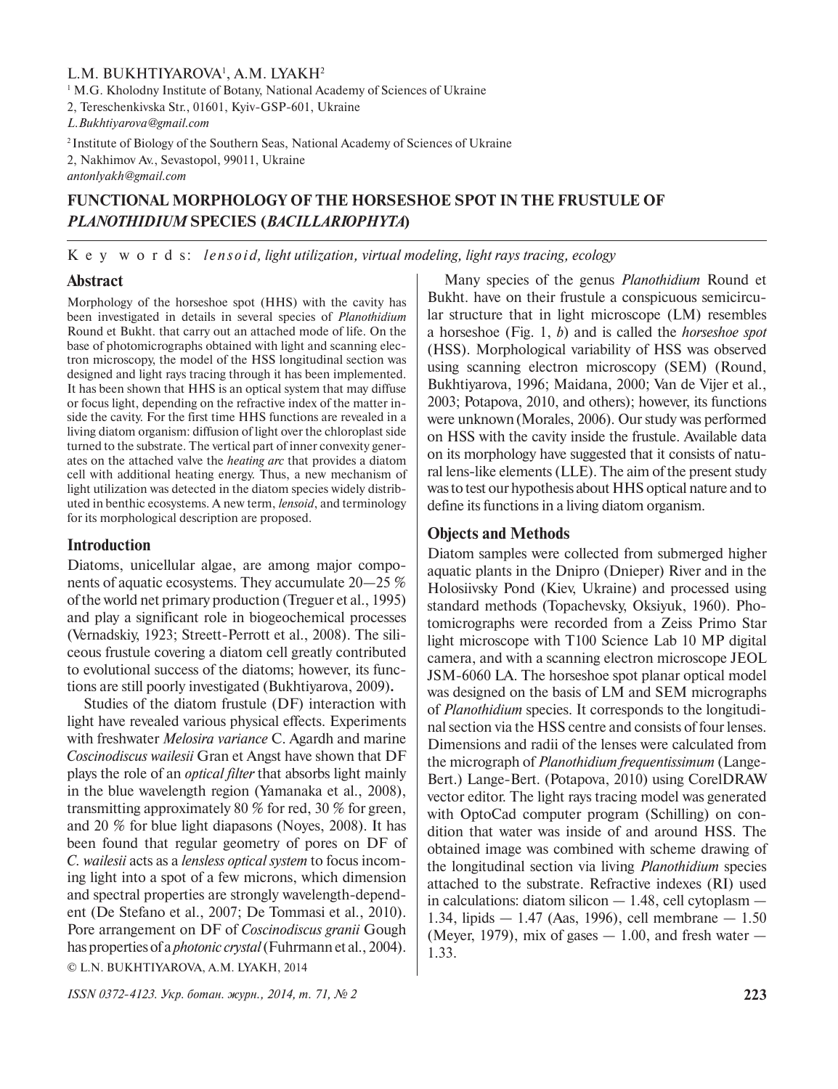## L.M. BUKHTIYAROVA<sup>1</sup>, A.M. LYAKH<sup>2</sup>

<sup>1</sup> M.G. Kholodny Institute of Botany, National Academy of Sciences of Ukraine

2, Tereschenkivska Str., 01601, Kyiv-GSP-601, Ukraine

*L.Bukhtiyarova@gmail.com*

<sup>2</sup> Institute of Biology of the Southern Seas, National Academy of Sciences of Ukraine

2, Nakhimov Av., Sevastopol, 99011, Ukraine

*antonlyakh@gmail.com*

# **FUNCTIONAL MORPHOLOGY OF THE HORSESHOE SPOT IN THE FRUSTULE OF**  *PLANOTHIDIUM* **SPECIES (***BACILLARIOPHYTA***)**

K e y w o r d s: *lensoid, light utilization, virtual modeling, light rays tracing, ecology* 

## **Abstract**

Morphology of the horseshoe spot (HHS) with the cavity has been investigated in details in several species of *Planothidium* Round et Bukht. that carry out an attached mode of life. On the base of photomicrographs obtained with light and scanning electron microscopy, the model of the HSS longitudinal section was designed and light rays tracing through it has been implemented. It has been shown that HHS is an optical system that may diffuse or focus light, depending on the refractive index of the matter inside the cavity. For the first time HHS functions are revealed in a living diatom organism: diffusion of light over the chloroplast side turned to the substrate. The vertical part of inner convexity generates on the attached valve the *heating arc* that provides a diatom cell with additional heating energy. Thus, a new mechanism of light utilization was detected in the diatom species widely distributed in benthic ecosystems. A new term, *lensoid*, and terminology for its morphological description are proposed.

### **Introduction**

Diatoms, unicellular algae, are among major components of aquatic ecosystems. They accumulate 20—25 % of the world net primary production (Treguer et al., 1995) and play a significant role in biogeochemical processes (Vernadskiy, 1923; Streett-Perrott et al., 2008). The siliceous frustule covering a diatom cell greatly contributed to evolutional success of the diatoms; however, its functions are still poorly investigated (Bukhtiyarova, 2009)**.**

Studies of the diatom frustule (DF) interaction with light have revealed various physical effects. Experiments with freshwater *Melosira variance* C. Agardh and marine *Coscinodiscus wailesii* Gran et Angst have shown that DF plays the role of an *optical filter* that absorbs light mainly in the blue wavelength region (Yamanaka et al., 2008), transmitting approximately 80 % for red, 30 % for green, and 20 % for blue light diapasons (Noyes, 2008). It has been found that regular geometry of pores on DF of *C. wailesii* acts as a *lensless optical system* to focus incoming light into a spot of a few microns, which dimension and spectral properties are strongly wavelength-dependent (De Stefano et al., 2007; De Tommasi et al., 2010). Pore arrangement on DF of *Coscinodiscus granii* Gough has properties of a *photonic crystal* (Fuhrmann et al., 2004). © L.N. BUKHTIYAROVA, A.M. LYAKH, 2014

Many species of the genus *Planothidium* Round et Bukht. have on their frustule a conspicuous semicircular structure that in light microscope (LM) resembles a horseshoe (Fig. 1, *b*) and is called the *horseshoe spot* (HSS). Morphological variability of HSS was observed using scanning electron microscopy (SEM) (Round, Bukhtiyarova, 1996; Maidana, 2000; Van de Vijer et al., 2003; Potapova, 2010, and others); however, its functions were unknown(Morales, 2006). Our study was performed on HSS with the cavity inside the frustule. Available data on its morphology have suggested that it consists of natural lens-like elements (LLE). The aim of the present study was to test our hypothesis about HHS optical nature and to define its functions in a living diatom organism.

## **Objects and Methods**

Diatom samples were collected from submerged higher aquatic plants in the Dnipro (Dnieper) River and in the Holosiivsky Pond (Kiev, Ukraine) and processed using standard methods (Topachevsky, Oksiyuk, 1960). Photomicrographs were recorded from a Zeiss Primo Star light microscope with T100 Science Lab 10 MP digital camera, and with a scanning electron microscope JEOL JSM-6060 LA. The horseshoe spot planar optical model was designed on the basis of LM and SEM micrographs of *Planothidium* species. It corresponds to the longitudinal section via the HSS centre and consists of four lenses. Dimensions and radii of the lenses were calculated from the micrograph of *Planothidium frequentissimum* (Lange-Bert.) Lange-Bert. (Potapova, 2010) using CorelDRAW vector editor. The light rays tracing model was generated with OptoCad computer program (Schilling) on condition that water was inside of and around HSS. The obtained image was combined with scheme drawing of the longitudinal section via living *Planothidium* species attached to the substrate. Refractive indexes (RI) used in calculations: diatom silicon — 1.48, cell cytoplasm — 1.34, lipids — 1.47 (Aas, 1996), cell membrane — 1.50 (Meyer, 1979), mix of gases  $-1.00$ , and fresh water  $-$ 1.33.

*ISSN 0372-4123. Укр. ботан. журн., 2014, т. 71, № 2* **223**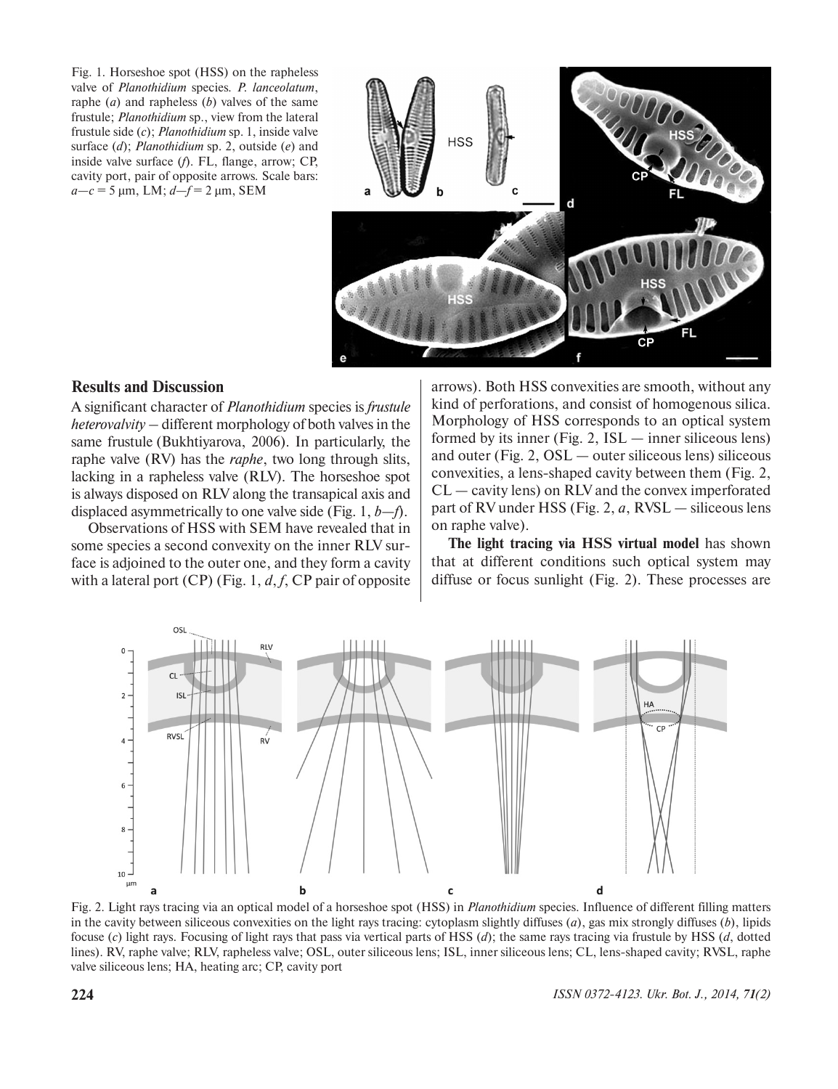Fig. 1. Horseshoe spot (HSS) on the rapheless valve of *Planothidium* species*. P. lanceolatum*, raphe (*a*) and rapheless (*b*) valves of the same frustule; *Planothidium* sp., view from the lateral frustule side (*c*); *Planothidium* sp. 1, inside valve surface (*d*); *Planothidium* sp. 2, outside (*e*) and inside valve surface (*f*). FL, flange, arrow; CP, cavity port, pair of opposite arrows*.* Scale bars: *a—c* = 5 µm, LM; *d—f* = 2 µm, SEM



## **Results and Discussion**

A significant character of *Planothidium* species is *frustule heterovalvity* – different morphology of both valves in the same frustule (Bukhtiyarova, 2006). In particularly, the raphe valve (RV) has the *raphe*, two long through slits, lacking in a rapheless valve (RLV). The horseshoe spot is always disposed on RLV along the transapical axis and displaced asymmetrically to one valve side (Fig. 1, *b—f*).

Observations of HSS with SEM have revealed that in some species a second convexity on the inner RLV surface is adjoined to the outer one, and they form a cavity with a lateral port (CP) (Fig. 1, *d*, *f*, CP pair of opposite arrows). Both HSS convexities are smooth, without any kind of perforations, and consist of homogenous silica. Morphology of HSS corresponds to an optical system formed by its inner (Fig. 2,  $ISL$  — inner siliceous lens) and outer (Fig. 2, OSL — outer siliceous lens) siliceous convexities, a lens-shaped cavity between them (Fig. 2, CL — cavity lens) on RLV and the convex imperforated part of RV under HSS (Fig. 2, *a*, RVSL — siliceous lens on raphe valve).

**The light tracing via HSS virtual model** has shown that at different conditions such optical system may diffuse or focus sunlight (Fig. 2). These processes are



Fig. 2. Light rays tracing via an optical model of a horseshoe spot (HSS) in *Planothidium* species. Influence of different filling matters in the cavity between siliceous convexities on the light rays tracing: cytoplasm slightly diffuses (*a*), gas mix strongly diffuses (*b*), lipids focuse (*c*) light rays. Focusing of light rays that pass via vertical parts of HSS (*d*); the same rays tracing via frustule by HSS (*d*, dotted lines). RV, raphe valve; RLV, rapheless valve; OSL, outer siliceous lens; ISL, inner siliceous lens; CL, lens-shaped cavity; RVSL, raphe valve siliceous lens; HA, heating arc; CP, cavity port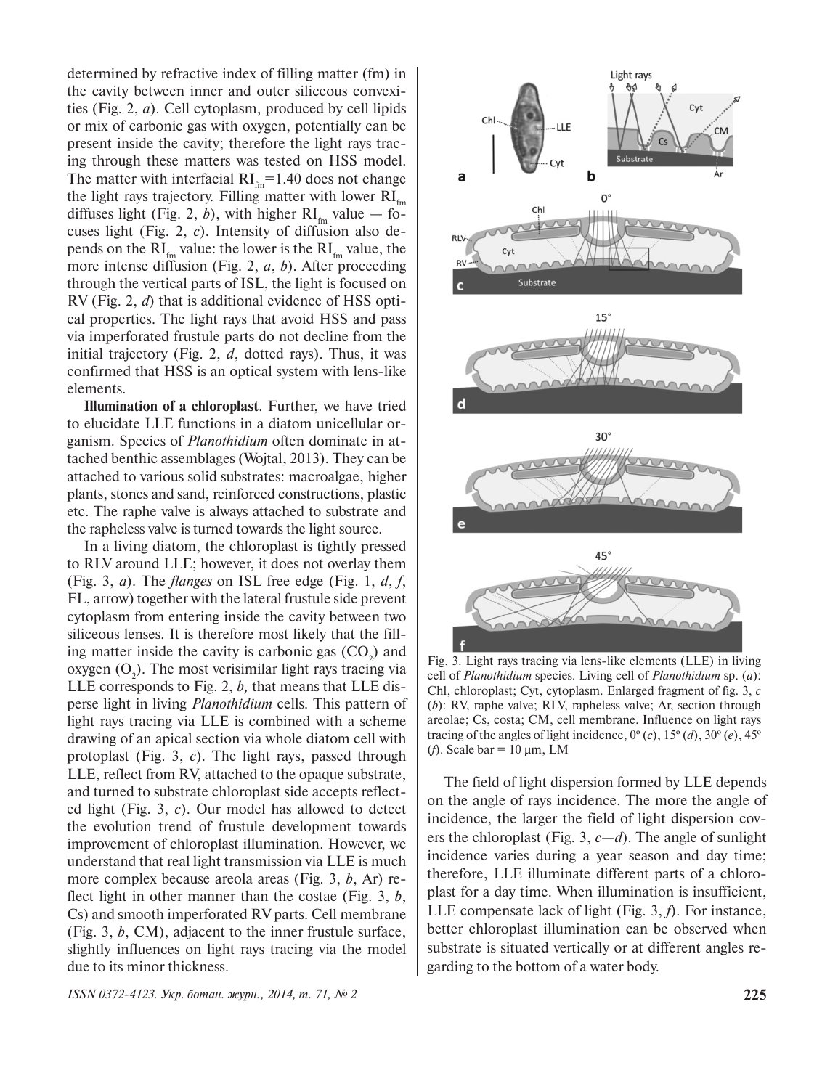determined by refractive index of filling matter (fm) in the cavity between inner and outer siliceous convexities (Fig. 2, *a*). Сell cytoplasm, produced by cell lipids or mix of carbonic gas with oxygen, potentially can be present inside the cavity; therefore the light rays tracing through these matters was tested on HSS model. The matter with interfacial  $RI<sub>fm</sub>=1.40$  does not change the light rays trajectory. Filling matter with lower  $RI_{\text{fm}}$ diffuses light (Fig. 2, b), with higher  $RI<sub>fm</sub>$  value — focuses light (Fig. 2, *c*). Intensity of diffusion also depends on the  $RI<sub>fm</sub>$  value: the lower is the  $RI<sub>fm</sub>$  value, the more intense diffusion (Fig. 2, *a*, *b*). After proceeding through the vertical parts of ISL, the light is focused on RV (Fig. 2, *d*) that is additional evidence of HSS optical properties. The light rays that avoid HSS and pass via imperforated frustule parts do not decline from the initial trajectory (Fig. 2, *d*, dotted rays). Thus, it was confirmed that HSS is an optical system with lens-like elements.

**Illumination of a chloroplast**. Further, we have tried to elucidate LLE functions in a diatom unicellular organism. Species of *Planothidium* often dominate in attached benthic assemblages (Wojtal, 2013). They can be attached to various solid substrates: macroalgae, higher plants, stones and sand, reinforced constructions, plastic etc. The raphe valve is always attached to substrate and the rapheless valve is turned towards the light source.

In a living diatom, the chloroplast is tightly pressed to RLV around LLE; however, it does not overlay them (Fig. 3, *a*). The *flanges* on ISL free edge (Fig. 1, *d*, *f*, FL, arrow) together with the lateral frustule side prevent cytoplasm from entering inside the cavity between two siliceous lenses. It is therefore most likely that the filling matter inside the cavity is carbonic gas  $(CO_2)$  and oxygen  $(O_2)$ . The most verisimilar light rays tracing via LLE corresponds to Fig. 2, *b,* that means that LLE disperse light in living *Planothidium* cells. This pattern of light rays tracing via LLE is combined with a scheme drawing of an apical section via whole diatom cell with protoplast (Fig. 3, *c*). The light rays, passed through LLE, reflect from RV, attached to the opaque substrate, and turned to substrate chloroplast side accepts reflected light (Fig. 3, *c*). Our model has allowed to detect the evolution trend of frustule development towards improvement of chloroplast illumination. However, we understand that real light transmission via LLE is much more complex because areola areas (Fig. 3, *b*, Ar) reflect light in other manner than the costae (Fig. 3, *b*, Cs) and smooth imperforated RV parts. Cell membrane (Fig. 3, *b*, CM), adjacent to the inner frustule surface, slightly influences on light rays tracing via the model due to its minor thickness.

*ISSN 0372-4123. Укр. ботан. журн., 2014, т. 71, № 2* **225**



Fig. 3. Light rays tracing via lens-like elements (LLE) in living cell of *Planothidium* species. Living cell of *Planothidium* sp. (*a*): Chl, chloroplast; Cyt, cytoplasm. Enlarged fragment of fig. 3, *c* (*b*): RV, raphe valve; RLV, rapheless valve; Ar, section through areolae; Cs, costa; CM, cell membrane. Influence on light rays tracing of the angles of light incidence,  $0^{\circ}(c)$ ,  $15^{\circ}(d)$ ,  $30^{\circ}(e)$ ,  $45^{\circ}$ (*f*). Scale bar =  $10 \mu m$ , LM

The field of light dispersion formed by LLE depends on the angle of rays incidence. The more the angle of incidence, the larger the field of light dispersion covers the chloroplast (Fig. 3, *c—d*). The angle of sunlight incidence varies during a year season and day time; therefore, LLE illuminate different parts of a chloroplast for a day time. When illumination is insufficient, LLE compensate lack of light (Fig. 3, *f*). For instance, better chloroplast illumination can be observed when substrate is situated vertically or at different angles regarding to the bottom of a water body.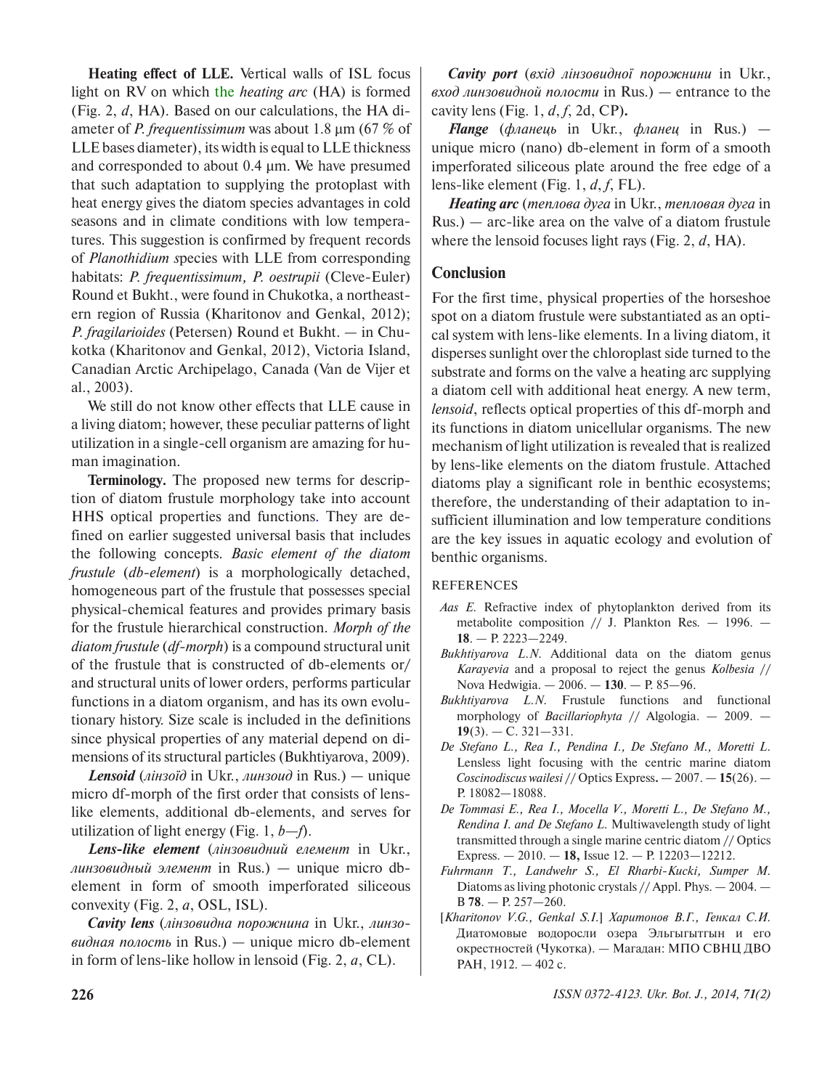**Heating effect of LLE.** Vertical walls of ISL focus light on RV on which the *heating arc* (HA) is formed (Fig. 2, *d*, HA). Based on our calculations, the HA diameter of *P. frequentissimum* was about 1.8 µm (67 % of LLE bases diameter), its width is equal to LLE thickness and corresponded to about 0.4 µm. We have presumed that such adaptation to supplying the protoplast with heat energy gives the diatom species advantages in cold seasons and in climate conditions with low temperatures. This suggestion is confirmed by frequent records of *Planothidium s*pecies with LLE from corresponding habitats: *P. frequentissimum, P. oestrupii* (Cleve-Euler) Round et Bukht., were found in Chukotka, a northeastern region of Russia (Kharitonov and Genkal, 2012); *P. fragilarioides* (Petersen) Round et Bukht. *—* in Chukotka (Kharitonov and Genkal, 2012), Victoria Island, Canadian Arctic Archipelago, Canada (Van de Vijer et al., 2003).

We still do not know other effects that LLE cause in a living diatom; however, these peculiar patterns of light utilization in a single-cell organism are amazing for human imagination.

**Terminology.** The proposed new terms for description of diatom frustule morphology take into account HHS optical properties and functions. They are defined on earlier suggested universal basis that includes the following concepts. *Basic element of the diatom frustule* (*db-element*) is a morphologically detached, homogeneous part of the frustule that possesses special physical-chemical features and provides primary basis for the frustule hierarchical construction. *Morph of the diatom frustule* (*df-morph*) is a compound structural unit of the frustule that is constructed of db-elements or/ and structural units of lower orders, performs particular functions in a diatom organism, and has its own evolutionary history. Size scale is included in the definitions since physical properties of any material depend on dimensions of its structural particles (Bukhtiyarova, 2009).

*Lensoid* (*лінзоїд* in Ukr., *линзоид* in Rus.) — unique micro df-morph of the first order that consists of lenslike elements, additional db-elements, and serves for utilization of light energy (Fig. 1, *b—f*).

*Lens-like element* (*лінзовидний елемент* in Ukr., *линзовидный элемент* in Rus.) — unique micro dbelement in form of smooth imperforated siliceous convexity (Fig. 2, *a*, OSL, ISL).

*Cavity lens* (*лінзовидна порожнина* in Ukr., *линзовидная полость* in Rus.) — unique micro db-element in form of lens-like hollow in lensoid (Fig. 2, *a*, CL).

*Cavity port* (*вхід лінзовидної порожнини* in Ukr., *вход линзовидной полости* in Rus.) — entrance to the cavity lens (Fig. 1, *d*, *f*, 2d, CP)*.*

*Flange* (*фланець* in Ukr., *фланец* in Rus.) unique micro (nano) db-element in form of a smooth imperforated siliceous plate around the free edge of a lens-like element (Fig. 1, *d*, *f*, FL).

*Heating arc* (*теплова дуга* in Ukr., *тепловая дуга* in Rus.) — arc-like area on the valve of a diatom frustule where the lensoid focuses light rays (Fig. 2, *d*, HA).

## **Conclusion**

For the first time, physical properties of the horseshoe spot on a diatom frustule were substantiated as an optical system with lens-like elements. In a living diatom, it disperses sunlight over the chloroplast side turned to the substrate and forms on the valve a heating arc supplying a diatom cell with additional heat energy. A new term, *lensoid*, reflects optical properties of this df-morph and its functions in diatom unicellular organisms. The new mechanism of light utilization is revealed that is realized by lens-like elements on the diatom frustule. Attached diatoms play a significant role in benthic ecosystems; therefore, the understanding of their adaptation to insufficient illumination and low temperature conditions are the key issues in aquatic ecology and evolution of benthic organisms.

## REFERENCES

- *Aas E.* Refractive index of phytoplankton derived from its metabolite composition // J. Plankton Res*. —* 1996. — **18**. — P. 2223—2249.
- *Bukhtiyarova L.N*. Additional data on the diatom genus *Karayevia* and a proposal to reject the genus *Kolbesia* // Nova Hedwigia. — 2006. — **130**. — P. 85—96.
- *Bukhtiyarova L.N.* Frustule functions and functional morphology of *Bacillariophyta* // Algologia. — 2009. — **19**(3). — C. 321—331.
- *De Stefano L., Rea I., Pendina I., De Stefano M., Moretti L.* Lensless light focusing with the centric marine diatom *Coscinodiscus wailesi* // Optics Express**.** — 2007. — **15**(26). — P. 18082—18088.
- *De Tommasi E., Rea I., Mocella V., Moretti L., De Stefano M., Rendina I. and De Stefano L.* Multiwavelength study of light transmitted through a single marine centric diatom // Optics Express. — 2010. — **18,** Issue 12. — P. 12203—12212.
- *Fuhrmann T., Landwehr S., El Rharbi-Kucki, Sumper M.* Diatoms as living photonic crystals // Appl. Phys. — 2004. — B **78**. — P. 257—260.
- [*Kharitonov V.G., Genkal S.I*.] *Харитонов В.Г., Генкал С.И.*  Диатомовые водоросли озера Эльгыгытгын и его окрестностей (Чукотка). — Магадан: МПО СВНЦ ДВО РАН, 1912. — 402 с.